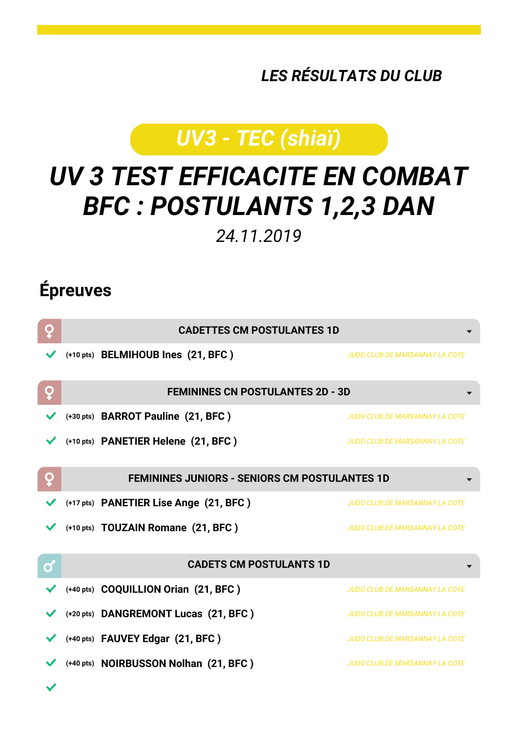*LES RÉSULTATS DU CLUB*

## *UV3 - TEC (shiaï)*

## *UV 3 TEST EFFICACITE EN COMBAT BFC : POSTULANTS 1,2,3 DAN*

*24.11.2019*

## **Épreuves**